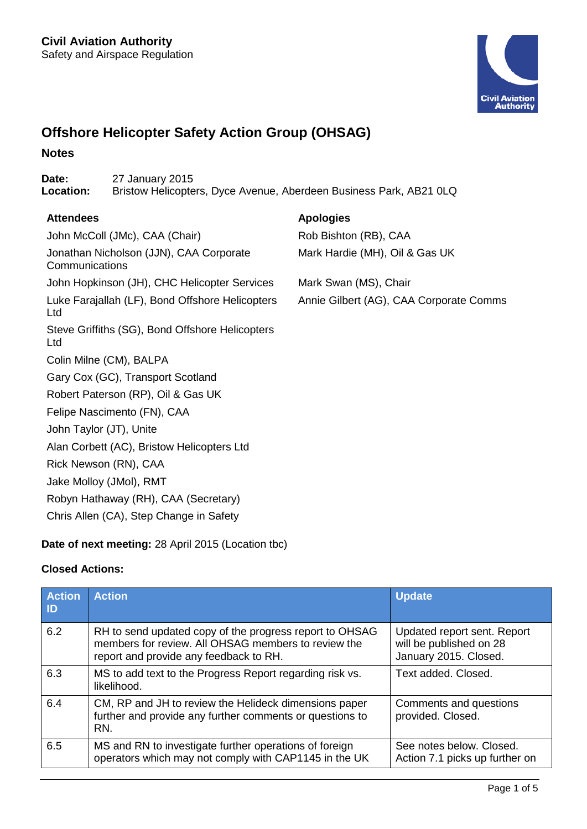

# **Offshore Helicopter Safety Action Group (OHSAG)**

#### **Notes**

**Date:** 27 January 2015<br> **Location:** Bristow Helicopte **Location:** Bristow Helicopters, Dyce Avenue, Aberdeen Business Park, AB21 0LQ

### **Attendees Apologies**

John McColl (JMc), CAA (Chair) Rob Bishton (RB), CAA Jonathan Nicholson (JJN), CAA Corporate **Communications** John Hopkinson (JH), CHC Helicopter Services Mark Swan (MS), Chair Luke Farajallah (LF), Bond Offshore Helicopters Ltd Steve Griffiths (SG), Bond Offshore Helicopters Ltd Colin Milne (CM), BALPA Gary Cox (GC), Transport Scotland Robert Paterson (RP), Oil & Gas UK Felipe Nascimento (FN), CAA John Taylor (JT), Unite Alan Corbett (AC), Bristow Helicopters Ltd Rick Newson (RN), CAA Jake Molloy (JMol), RMT Robyn Hathaway (RH), CAA (Secretary) Chris Allen (CA), Step Change in Safety

**Date of next meeting:** 28 April 2015 (Location tbc)

# **Closed Actions:**

| <b>Action</b><br>-ID | <b>Action</b>                                                                                                                                            | <b>Update</b>                                                                   |  |
|----------------------|----------------------------------------------------------------------------------------------------------------------------------------------------------|---------------------------------------------------------------------------------|--|
| 6.2                  | RH to send updated copy of the progress report to OHSAG<br>members for review. All OHSAG members to review the<br>report and provide any feedback to RH. | Updated report sent. Report<br>will be published on 28<br>January 2015. Closed. |  |
| 6.3                  | MS to add text to the Progress Report regarding risk vs.<br>likelihood.                                                                                  | Text added, Closed.                                                             |  |
| 6.4                  | CM, RP and JH to review the Helideck dimensions paper<br>further and provide any further comments or questions to<br>RN.                                 | Comments and questions<br>provided. Closed.                                     |  |
| 6.5                  | MS and RN to investigate further operations of foreign<br>operators which may not comply with CAP1145 in the UK                                          | See notes below. Closed.<br>Action 7.1 picks up further on                      |  |

Mark Hardie (MH), Oil & Gas UK

Annie Gilbert (AG), CAA Corporate Comms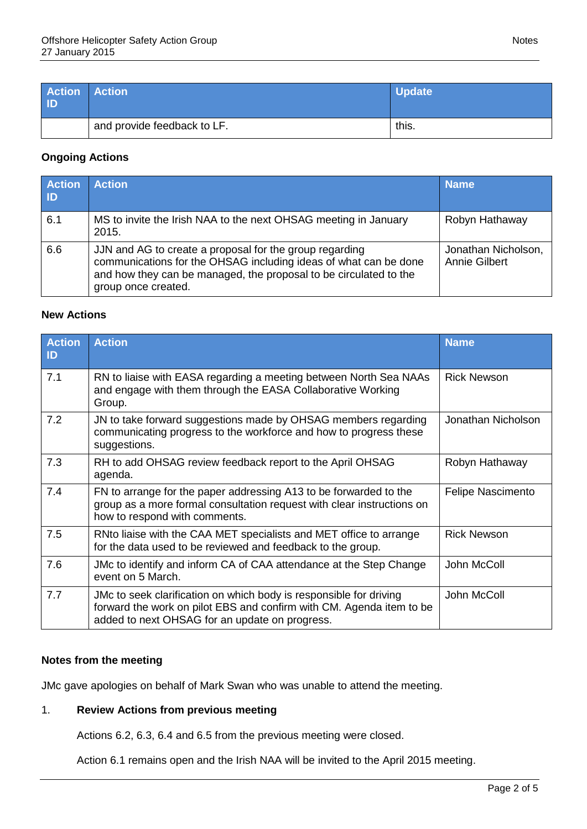| <b>Action Action</b><br>ID |                             | <b>Update</b> |
|----------------------------|-----------------------------|---------------|
|                            | and provide feedback to LF. | this.         |

### **Ongoing Actions**

| <b>Action</b><br>l ID | <b>Action</b>                                                                                                                                                                                                           | <b>Name</b>                          |
|-----------------------|-------------------------------------------------------------------------------------------------------------------------------------------------------------------------------------------------------------------------|--------------------------------------|
| 6.1                   | MS to invite the Irish NAA to the next OHSAG meeting in January<br>2015.                                                                                                                                                | Robyn Hathaway                       |
| 6.6                   | JJN and AG to create a proposal for the group regarding<br>communications for the OHSAG including ideas of what can be done<br>and how they can be managed, the proposal to be circulated to the<br>group once created. | Jonathan Nicholson,<br>Annie Gilbert |

# **New Actions**

| <b>Action</b><br>$\mathsf{ID}$ | <b>Action</b>                                                                                                                                                                                | <b>Name</b>              |
|--------------------------------|----------------------------------------------------------------------------------------------------------------------------------------------------------------------------------------------|--------------------------|
| 7.1                            | RN to liaise with EASA regarding a meeting between North Sea NAAs<br>and engage with them through the EASA Collaborative Working<br>Group.                                                   | <b>Rick Newson</b>       |
| 7.2                            | JN to take forward suggestions made by OHSAG members regarding<br>communicating progress to the workforce and how to progress these<br>suggestions.                                          | Jonathan Nicholson       |
| 7.3                            | RH to add OHSAG review feedback report to the April OHSAG<br>agenda.                                                                                                                         | Robyn Hathaway           |
| 7.4                            | FN to arrange for the paper addressing A13 to be forwarded to the<br>group as a more formal consultation request with clear instructions on<br>how to respond with comments.                 | <b>Felipe Nascimento</b> |
| 7.5                            | RNto liaise with the CAA MET specialists and MET office to arrange<br>for the data used to be reviewed and feedback to the group.                                                            | <b>Rick Newson</b>       |
| 7.6                            | JMc to identify and inform CA of CAA attendance at the Step Change<br>event on 5 March.                                                                                                      | John McColl              |
| 7.7                            | JMc to seek clarification on which body is responsible for driving<br>forward the work on pilot EBS and confirm with CM. Agenda item to be<br>added to next OHSAG for an update on progress. | John McColl              |

## **Notes from the meeting**

JMc gave apologies on behalf of Mark Swan who was unable to attend the meeting.

# 1. **Review Actions from previous meeting**

Actions 6.2, 6.3, 6.4 and 6.5 from the previous meeting were closed.

Action 6.1 remains open and the Irish NAA will be invited to the April 2015 meeting.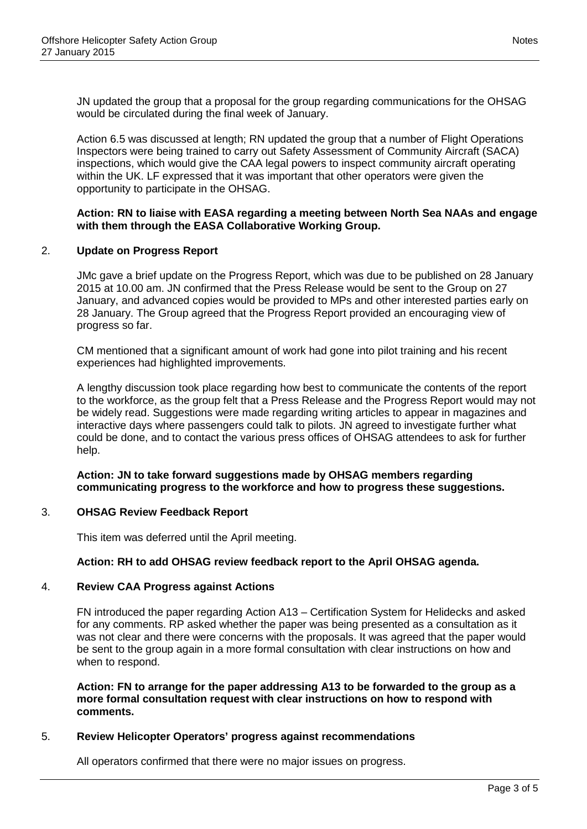JN updated the group that a proposal for the group regarding communications for the OHSAG would be circulated during the final week of January.

Action 6.5 was discussed at length; RN updated the group that a number of Flight Operations Inspectors were being trained to carry out Safety Assessment of Community Aircraft (SACA) inspections, which would give the CAA legal powers to inspect community aircraft operating within the UK. LF expressed that it was important that other operators were given the opportunity to participate in the OHSAG.

#### **Action: RN to liaise with EASA regarding a meeting between North Sea NAAs and engage with them through the EASA Collaborative Working Group.**

### 2. **Update on Progress Report**

JMc gave a brief update on the Progress Report, which was due to be published on 28 January 2015 at 10.00 am. JN confirmed that the Press Release would be sent to the Group on 27 January, and advanced copies would be provided to MPs and other interested parties early on 28 January. The Group agreed that the Progress Report provided an encouraging view of progress so far.

CM mentioned that a significant amount of work had gone into pilot training and his recent experiences had highlighted improvements.

A lengthy discussion took place regarding how best to communicate the contents of the report to the workforce, as the group felt that a Press Release and the Progress Report would may not be widely read. Suggestions were made regarding writing articles to appear in magazines and interactive days where passengers could talk to pilots. JN agreed to investigate further what could be done, and to contact the various press offices of OHSAG attendees to ask for further help.

**Action: JN to take forward suggestions made by OHSAG members regarding communicating progress to the workforce and how to progress these suggestions.**

### 3. **OHSAG Review Feedback Report**

This item was deferred until the April meeting.

### **Action: RH to add OHSAG review feedback report to the April OHSAG agenda.**

#### 4. **Review CAA Progress against Actions**

FN introduced the paper regarding Action A13 – Certification System for Helidecks and asked for any comments. RP asked whether the paper was being presented as a consultation as it was not clear and there were concerns with the proposals. It was agreed that the paper would be sent to the group again in a more formal consultation with clear instructions on how and when to respond.

**Action: FN to arrange for the paper addressing A13 to be forwarded to the group as a more formal consultation request with clear instructions on how to respond with comments.**

### 5. **Review Helicopter Operators' progress against recommendations**

All operators confirmed that there were no major issues on progress.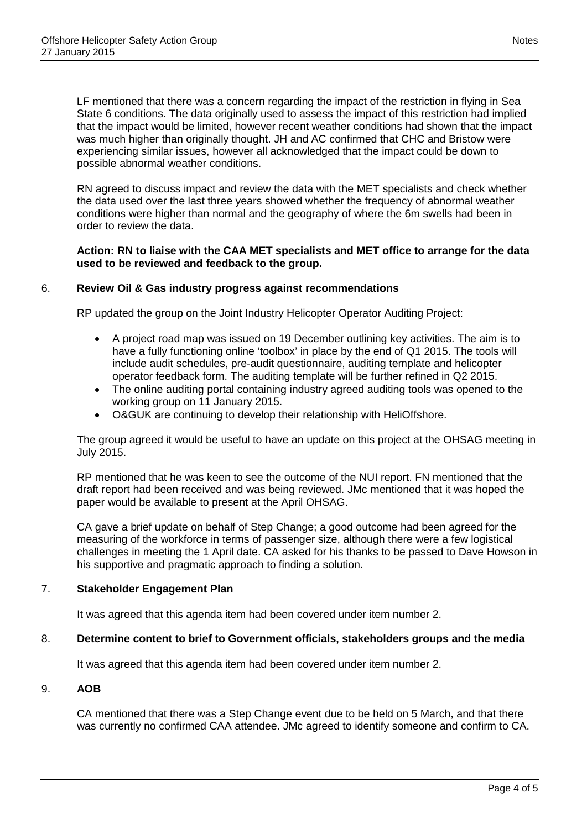LF mentioned that there was a concern regarding the impact of the restriction in flying in Sea State 6 conditions. The data originally used to assess the impact of this restriction had implied that the impact would be limited, however recent weather conditions had shown that the impact was much higher than originally thought. JH and AC confirmed that CHC and Bristow were experiencing similar issues, however all acknowledged that the impact could be down to possible abnormal weather conditions.

RN agreed to discuss impact and review the data with the MET specialists and check whether the data used over the last three years showed whether the frequency of abnormal weather conditions were higher than normal and the geography of where the 6m swells had been in order to review the data.

#### **Action: RN to liaise with the CAA MET specialists and MET office to arrange for the data used to be reviewed and feedback to the group.**

#### 6. **Review Oil & Gas industry progress against recommendations**

RP updated the group on the Joint Industry Helicopter Operator Auditing Project:

- A project road map was issued on 19 December outlining key activities. The aim is to have a fully functioning online 'toolbox' in place by the end of Q1 2015. The tools will include audit schedules, pre-audit questionnaire, auditing template and helicopter operator feedback form. The auditing template will be further refined in Q2 2015.
- The online auditing portal containing industry agreed auditing tools was opened to the working group on 11 January 2015.
- O&GUK are continuing to develop their relationship with HeliOffshore.

The group agreed it would be useful to have an update on this project at the OHSAG meeting in July 2015.

RP mentioned that he was keen to see the outcome of the NUI report. FN mentioned that the draft report had been received and was being reviewed. JMc mentioned that it was hoped the paper would be available to present at the April OHSAG.

CA gave a brief update on behalf of Step Change; a good outcome had been agreed for the measuring of the workforce in terms of passenger size, although there were a few logistical challenges in meeting the 1 April date. CA asked for his thanks to be passed to Dave Howson in his supportive and pragmatic approach to finding a solution.

### 7. **Stakeholder Engagement Plan**

It was agreed that this agenda item had been covered under item number 2.

### 8. **Determine content to brief to Government officials, stakeholders groups and the media**

It was agreed that this agenda item had been covered under item number 2.

#### 9. **AOB**

CA mentioned that there was a Step Change event due to be held on 5 March, and that there was currently no confirmed CAA attendee. JMc agreed to identify someone and confirm to CA.